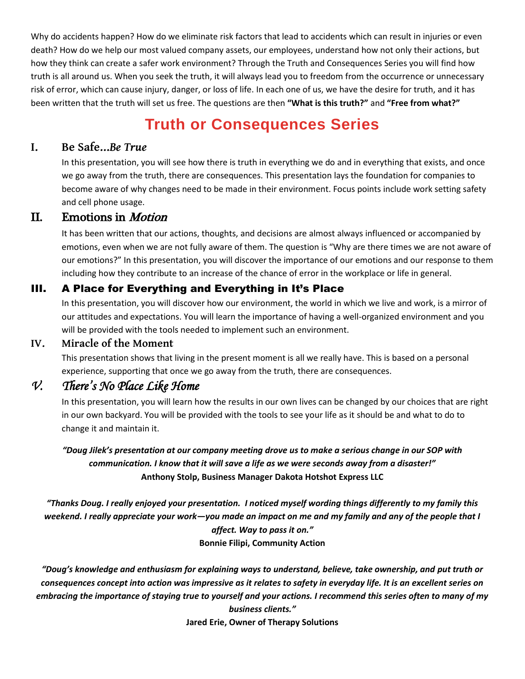Why do accidents happen? How do we eliminate risk factors that lead to accidents which can result in injuries or even death? How do we help our most valued company assets, our employees, understand how not only their actions, but how they think can create a safer work environment? Through the Truth and Consequences Series you will find how truth is all around us. When you seek the truth, it will always lead you to freedom from the occurrence or unnecessary risk of error, which can cause injury, danger, or loss of life. In each one of us, we have the desire for truth, and it has been written that the truth will set us free. The questions are then **"What is this truth?"** and **"Free from what?"**

# **Truth or Consequences Series**

#### **I. Be Safe…***Be True*

In this presentation, you will see how there is truth in everything we do and in everything that exists, and once we go away from the truth, there are consequences. This presentation lays the foundation for companies to become aware of why changes need to be made in their environment. Focus points include work setting safety and cell phone usage.

### II. Emotions in Motion

It has been written that our actions, thoughts, and decisions are almost always influenced or accompanied by emotions, even when we are not fully aware of them. The question is "Why are there times we are not aware of our emotions?" In this presentation, you will discover the importance of our emotions and our response to them including how they contribute to an increase of the chance of error in the workplace or life in general.

#### III. A Place for Everything and Everything in It's Place

In this presentation, you will discover how our environment, the world in which we live and work, is a mirror of our attitudes and expectations. You will learn the importance of having a well-organized environment and you will be provided with the tools needed to implement such an environment.

#### **IV. Miracle of the Moment**

This presentation shows that living in the present moment is all we really have. This is based on a personal experience, supporting that once we go away from the truth, there are consequences.

## *V. There's No Place Like Home*

In this presentation, you will learn how the results in our own lives can be changed by our choices that are right in our own backyard. You will be provided with the tools to see your life as it should be and what to do to change it and maintain it.

*"Doug Jilek's presentation at our company meeting drove us to make a serious change in our SOP with communication. I know that it will save a life as we were seconds away from a disaster!"* **Anthony Stolp, Business Manager Dakota Hotshot Express LLC**

*"Thanks Doug. I really enjoyed your presentation. I noticed myself wording things differently to my family this weekend. I really appreciate your work—you made an impact on me and my family and any of the people that I affect. Way to pass it on."* **Bonnie Filipi, Community Action**

*"Doug's knowledge and enthusiasm for explaining ways to understand, believe, take ownership, and put truth or consequences concept into action was impressive as it relates to safety in everyday life. It is an excellent series on embracing the importance of staying true to yourself and your actions. I recommend this series often to many of my business clients."*

**Jared Erie, Owner of Therapy Solutions**